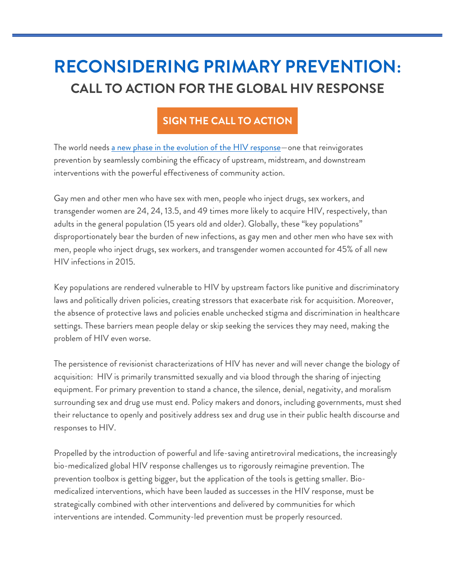## **[RECONSIDERING PRIMARY PREVENTION:](http://msmgf.org/wp-content/uploads/2017/10/Reconsidering-Primary-Prevention.pdf)  CALL TO ACTION FOR THE GLOBAL HIV RESPONSE**

## **[SIGN THE CALL TO ACTION](https://docs.google.com/forms/d/1Z4Ks2WG288zrAD4KjIqoBHCfFTmm_5B70un7N5PDQAg/edit)**

The world needs [a new phase in the evolution of the HIV response](http://msmgf.org/wp-content/uploads/2017/10/Reconsidering-Primary-Prevention.pdf)-one that reinvigorates prevention by seamlessly combining the efficacy of upstream, midstream, and downstream interventions with the powerful effectiveness of community action.

Gay men and other men who have sex with men, people who inject drugs, sex workers, and transgender women are 24, 24, 13.5, and 49 times more likely to acquire HIV, respectively, than adults in the general population (15 years old and older). Globally, these "key populations" disproportionately bear the burden of new infections, as gay men and other men who have sex with men, people who inject drugs, sex workers, and transgender women accounted for 45% of all new HIV infections in 2015.

Key populations are rendered vulnerable to HIV by upstream factors like punitive and discriminatory laws and politically driven policies, creating stressors that exacerbate risk for acquisition. Moreover, the absence of protective laws and policies enable unchecked stigma and discrimination in healthcare settings. These barriers mean people delay or skip seeking the services they may need, making the problem of HIV even worse.

The persistence of revisionist characterizations of HIV has never and will never change the biology of acquisition: HIV is primarily transmitted sexually and via blood through the sharing of injecting equipment. For primary prevention to stand a chance, the silence, denial, negativity, and moralism surrounding sex and drug use must end. Policy makers and donors, including governments, must shed their reluctance to openly and positively address sex and drug use in their public health discourse and responses to HIV.

Propelled by the introduction of powerful and life-saving antiretroviral medications, the increasingly bio-medicalized global HIV response challenges us to rigorously reimagine prevention. The prevention toolbox is getting bigger, but the application of the tools is getting smaller. Biomedicalized interventions, which have been lauded as successes in the HIV response, must be strategically combined with other interventions and delivered by communities for which interventions are intended. Community-led prevention must be properly resourced.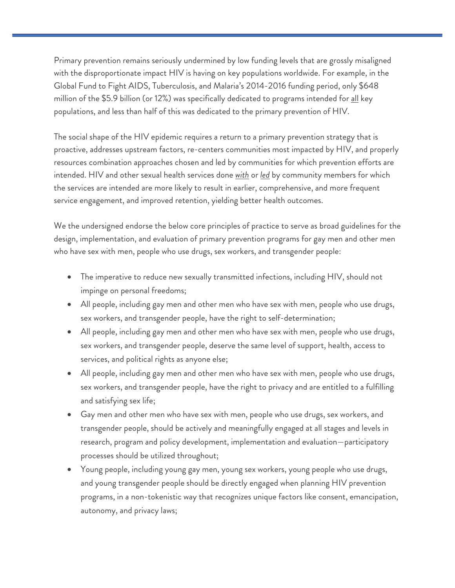Primary prevention remains seriously undermined by low funding levels that are grossly misaligned with the disproportionate impact HIV is having on key populations worldwide. For example, in the Global Fund to Fight AIDS, Tuberculosis, and Malaria's 2014-2016 funding period, only \$648 million of the \$5.9 billion (or 12%) was specifically dedicated to programs intended for all key populations, and less than half of this was dedicated to the primary prevention of HIV.

The social shape of the HIV epidemic requires a return to a primary prevention strategy that is proactive, addresses upstream factors, re-centers communities most impacted by HIV, and properly resources combination approaches chosen and led by communities for which prevention efforts are intended. HIV and other sexual health services done *with* or *led* by community members for which the services are intended are more likely to result in earlier, comprehensive, and more frequent service engagement, and improved retention, yielding better health outcomes.

We the undersigned endorse the below core principles of practice to serve as broad guidelines for the design, implementation, and evaluation of primary prevention programs for gay men and other men who have sex with men, people who use drugs, sex workers, and transgender people:

- The imperative to reduce new sexually transmitted infections, including HIV, should not impinge on personal freedoms;
- All people, including gay men and other men who have sex with men, people who use drugs, sex workers, and transgender people, have the right to self-determination;
- All people, including gay men and other men who have sex with men, people who use drugs, sex workers, and transgender people, deserve the same level of support, health, access to services, and political rights as anyone else;
- All people, including gay men and other men who have sex with men, people who use drugs, sex workers, and transgender people, have the right to privacy and are entitled to a fulfilling and satisfying sex life;
- Gay men and other men who have sex with men, people who use drugs, sex workers, and transgender people, should be actively and meaningfully engaged at all stages and levels in research, program and policy development, implementation and evaluation—participatory processes should be utilized throughout;
- Young people, including young gay men, young sex workers, young people who use drugs, and young transgender people should be directly engaged when planning HIV prevention programs, in a non-tokenistic way that recognizes unique factors like consent, emancipation, autonomy, and privacy laws;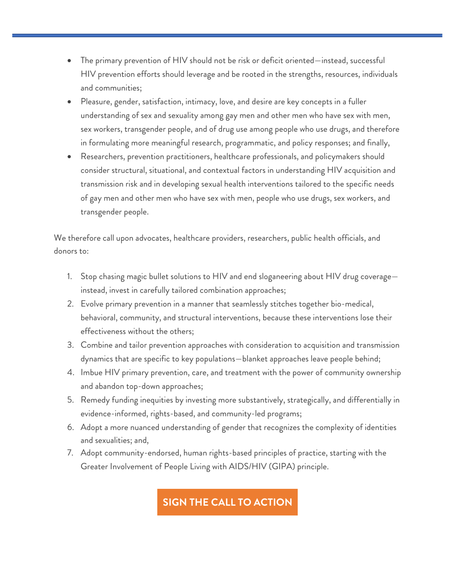- The primary prevention of HIV should not be risk or deficit oriented—instead, successful HIV prevention efforts should leverage and be rooted in the strengths, resources, individuals and communities;
- Pleasure, gender, satisfaction, intimacy, love, and desire are key concepts in a fuller understanding of sex and sexuality among gay men and other men who have sex with men, sex workers, transgender people, and of drug use among people who use drugs, and therefore in formulating more meaningful research, programmatic, and policy responses; and finally,
- Researchers, prevention practitioners, healthcare professionals, and policymakers should consider structural, situational, and contextual factors in understanding HIV acquisition and transmission risk and in developing sexual health interventions tailored to the specific needs of gay men and other men who have sex with men, people who use drugs, sex workers, and transgender people.

We therefore call upon advocates, healthcare providers, researchers, public health officials, and donors to:

- 1. Stop chasing magic bullet solutions to HIV and end sloganeering about HIV drug coverage instead, invest in carefully tailored combination approaches;
- 2. Evolve primary prevention in a manner that seamlessly stitches together bio-medical, behavioral, community, and structural interventions, because these interventions lose their effectiveness without the others;
- 3. Combine and tailor prevention approaches with consideration to acquisition and transmission dynamics that are specific to key populations—blanket approaches leave people behind;
- 4. Imbue HIV primary prevention, care, and treatment with the power of community ownership and abandon top-down approaches;
- 5. Remedy funding inequities by investing more substantively, strategically, and differentially in evidence-informed, rights-based, and community-led programs;
- 6. Adopt a more nuanced understanding of gender that recognizes the complexity of identities and sexualities; and,
- 7. Adopt community-endorsed, human rights-based principles of practice, starting with the Greater Involvement of People Living with AIDS/HIV (GIPA) principle.

## **[SIGN THE CALL TO ACTION](https://docs.google.com/forms/d/1Z4Ks2WG288zrAD4KjIqoBHCfFTmm_5B70un7N5PDQAg/edit)**